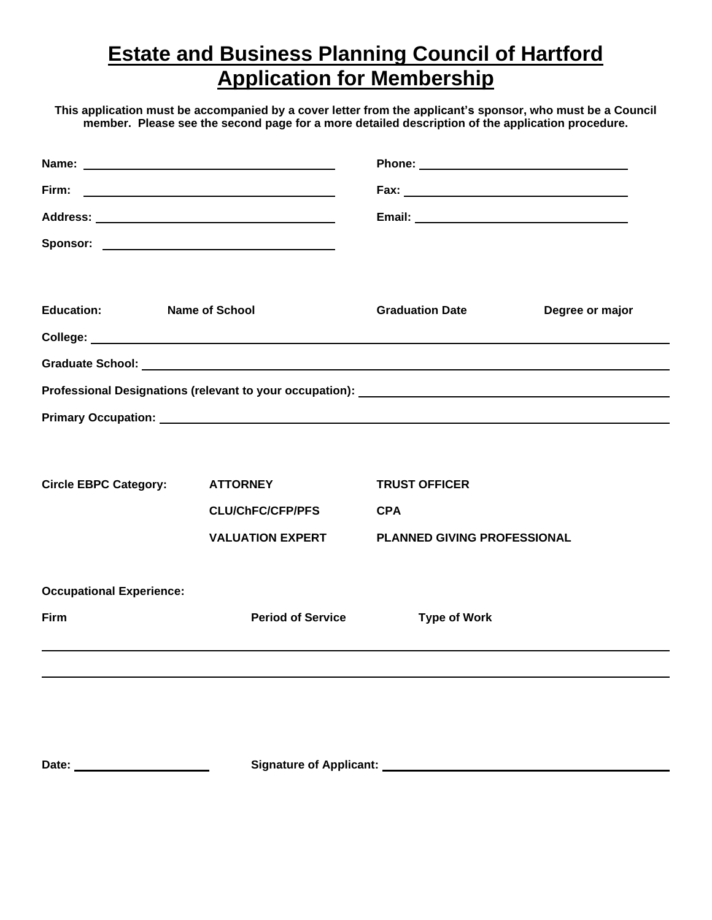# **Estate and Business Planning Council of Hartford Application for Membership**

**This application must be accompanied by a cover letter from the applicant's sponsor, who must be a Council member. Please see the second page for a more detailed description of the application procedure.**

|                                 |                                                                 |                                    |  | <b>Education:</b> | <b>Name of School</b> | <b>Graduation Date</b> | Degree or major |
|---------------------------------|-----------------------------------------------------------------|------------------------------------|--|-------------------|-----------------------|------------------------|-----------------|
|                                 |                                                                 |                                    |  |                   |                       |                        |                 |
|                                 |                                                                 |                                    |  |                   |                       |                        |                 |
|                                 |                                                                 |                                    |  |                   |                       |                        |                 |
|                                 |                                                                 |                                    |  |                   |                       |                        |                 |
|                                 |                                                                 |                                    |  |                   |                       |                        |                 |
| <b>Circle EBPC Category:</b>    | <b>ATTORNEY</b>                                                 | <b>TRUST OFFICER</b>               |  |                   |                       |                        |                 |
|                                 | <b>CLU/ChFC/CFP/PFS</b>                                         | <b>CPA</b>                         |  |                   |                       |                        |                 |
|                                 | <b>VALUATION EXPERT</b>                                         | <b>PLANNED GIVING PROFESSIONAL</b> |  |                   |                       |                        |                 |
| <b>Occupational Experience:</b> |                                                                 |                                    |  |                   |                       |                        |                 |
| Firm                            | <b>Period of Service</b>                                        | <b>Type of Work</b>                |  |                   |                       |                        |                 |
|                                 |                                                                 |                                    |  |                   |                       |                        |                 |
|                                 |                                                                 |                                    |  |                   |                       |                        |                 |
|                                 |                                                                 |                                    |  |                   |                       |                        |                 |
| Date:                           | Signature of Applicant: National Assembly Control of Applicant: |                                    |  |                   |                       |                        |                 |